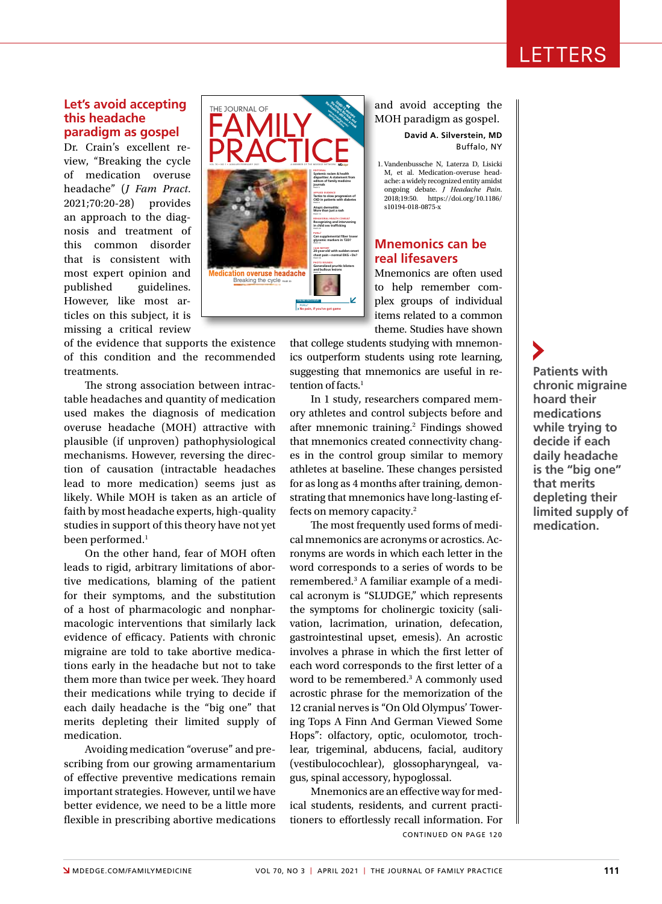# LETTERS

### **Let's avoid accepting this headache paradigm as gospel**

Dr. Crain's excellent review, "Breaking the cycle of medication overuse headache" (*J Fam Pract*. 2021;70:20-28) provides an approach to the diagnosis and treatment of this common disorder that is consistent with most expert opinion and published guidelines. However, like most articles on this subject, it is missing a critical review

of the evidence that supports the existence of this condition and the recommended treatments.

The strong association between intractable headaches and quantity of medication used makes the diagnosis of medication overuse headache (MOH) attractive with plausible (if unproven) pathophysiological mechanisms. However, reversing the direction of causation (intractable headaches lead to more medication) seems just as likely. While MOH is taken as an article of faith by most headache experts, high-quality studies in support of this theory have not yet been performed.<sup>1</sup>

On the other hand, fear of MOH often leads to rigid, arbitrary limitations of abortive medications, blaming of the patient for their symptoms, and the substitution of a host of pharmacologic and nonpharmacologic interventions that similarly lack evidence of efficacy. Patients with chronic migraine are told to take abortive medications early in the headache but not to take them more than twice per week. They hoard their medications while trying to decide if each daily headache is the "big one" that merits depleting their limited supply of medication.

Avoiding medication "overuse" and prescribing from our growing armamentarium of effective preventive medications remain important strategies. However, until we have better evidence, we need to be a little more flexible in prescribing abortive medications



and avoid accepting the MOH paradigm as gospel.

> **David A. Silverstein, MD** Buffalo, NY

 1. Vandenbussche N, Laterza D, Lisicki M, et al. Medication-overuse headache: a widely recognized entity amidst ongoing debate. *J Headache Pain*. 2018;19:50. https://doi.org/10.1186/ s10194-018-0875-x

### **Mnemonics can be real lifesavers**

Mnemonics are often used to help remember complex groups of individual items related to a common theme. Studies have shown

that college students studying with mnemonics outperform students using rote learning, suggesting that mnemonics are useful in retention of facts.<sup>1</sup>

In 1 study, researchers compared memory athletes and control subjects before and after mnemonic training.<sup>2</sup> Findings showed that mnemonics created connectivity changes in the control group similar to memory athletes at baseline. These changes persisted for as long as 4 months after training, demonstrating that mnemonics have long-lasting effects on memory capacity.2

The most frequently used forms of medical mnemonics are acronyms or acrostics. Acronyms are words in which each letter in the word corresponds to a series of words to be remembered.3 A familiar example of a medical acronym is "SLUDGE," which represents the symptoms for cholinergic toxicity (salivation, lacrimation, urination, defecation, gastrointestinal upset, emesis). An acrostic involves a phrase in which the first letter of each word corresponds to the first letter of a word to be remembered.<sup>3</sup> A commonly used acrostic phrase for the memorization of the 12 cranial nerves is "On Old Olympus' Towering Tops A Finn And German Viewed Some Hops": olfactory, optic, oculomotor, trochlear, trigeminal, abducens, facial, auditory (vestibulocochlear), glossopharyngeal, vagus, spinal accessory, hypoglossal.

Mnemonics are an effective way for medical students, residents, and current practitioners to effortlessly recall information. For CONTINUED ON PAGE 120

### **Patients with chronic migraine hoard their medications while trying to decide if each daily headache is the "big one" that merits depleting their limited supply of**

**medication.**